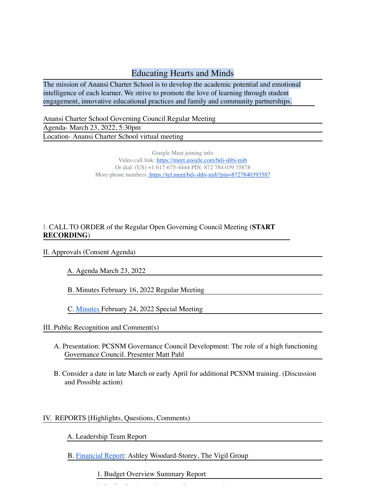## Educating Hearts and Minds

The mission of Anansi Charter School is to develop the academic potential and emotional intelligence of each learner. We strive to promote the love of learning through student engagement, innovative educational practices and family and community partnerships.

Anansi Charter School Governing Council Regular Meeting

Agenda- March 23, 2022, 5:30pm Location- Anansi Charter School virtual meeting

> Google Meet joining info Video call link: https://meet.google.com/bdj-shbj-mib Or dial: (US) +1 617-675-4444 PIN: 872 784 039 3587# More phone numbers: https://tel.meet/bdj-shbj-mib?pin=8727840393587

## I. CALL TO ORDER of the Regular Open Governing Council Meeting (**START RECORDING**)

## II. Approvals (Consent Agenda)

A. Agenda March 23, 2022

B. Minutes February 16, 2022 Regular Meeting

C. Minutes February 24, 2022 Special Meeting

III. Public Recognition and Comment(s)

- A. Presentation: PCSNM Governance Council Development: The role of a high functioning Governance Council. Presenter Matt Pahl
- B. Consider a date in late March or early April for additional PCSNM training. (Discussion and Possible action)

## IV. REPORTS [Highlights, Questions, Comments)

A. Leadership Team Report

B. Financial Report: Ashley Woodard-Storey, The Vigil Group

2. BARs: Budget Adjustment Requests (action)

1. Budget Overview Summary Report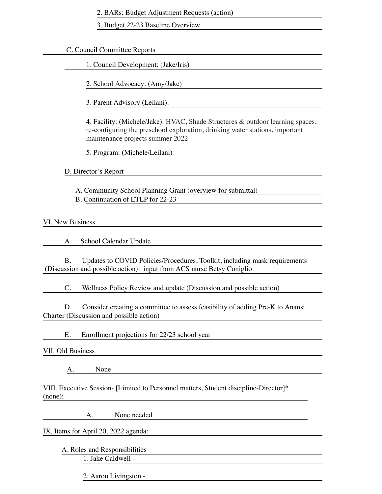2. BARs: Budget Adjustment Requests (action)

3. Budget 22-23 Baseline Overview

C. Council Committee Reports

1. Council Development: (Jake/Iris)

2. School Advocacy: (Amy/Jake)

3. Parent Advisory (Leilani):

4. Facility: (Michele/Jake): HVAC, Shade Structures & outdoor learning spaces, re-configuring the preschool exploration, drinking water stations, important maintenance projects summer 2022

5. Program: (Michele/Leilani)

D. Director's Report

A. Community School Planning Grant (overview for submittal)

B. Continuation of ETLP for 22-23

VI. New Business

A. School Calendar Update

B. Updates to COVID Policies/Procedures, Toolkit, including mask requirements (Discussion and possible action). input from ACS nurse Betsy Coniglio

C. Wellness Policy Review and update (Discussion and possible action)

D. Consider creating a committee to assess feasibility of adding Pre-K to Anansi Charter (Discussion and possible action)

E. Enrollment projections for 22/23 school year

VII. Old Business

A. None

VIII. Executive Session- [Limited to Personnel matters, Student discipline-Director]\* (none):

A. None needed

IX. Items for April 20, 2022 agenda:

A. Roles and Responsibilities 1. Jake Caldwell -

2. Aaron Livingston -